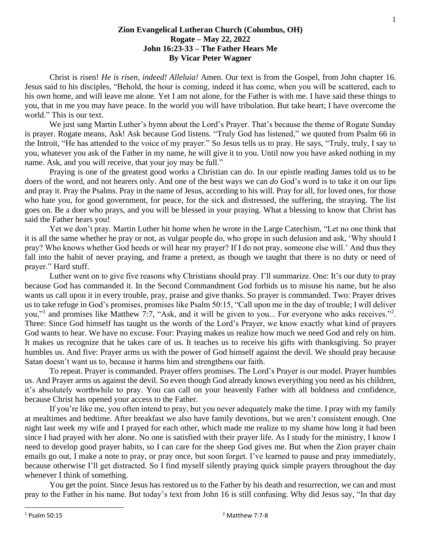## **Zion Evangelical Lutheran Church (Columbus, OH) Rogate – May 22, 2022 John 16:23-33 – The Father Hears Me By Vicar Peter Wagner**

Christ is risen! *He is risen, indeed! Alleluia!* Amen. Our text is from the Gospel, from John chapter 16. Jesus said to his disciples, "Behold, the hour is coming, indeed it has come, when you will be scattered, each to his own home, and will leave me alone. Yet I am not alone, for the Father is with me. I have said these things to you, that in me you may have peace. In the world you will have tribulation. But take heart; I have overcome the world." This is our text.

We just sang Martin Luther's hymn about the Lord's Prayer. That's because the theme of Rogate Sunday is prayer. Rogate means, Ask! Ask because God listens. "Truly God has listened," we quoted from Psalm 66 in the Introit, "He has attended to the voice of my prayer." So Jesus tells us to pray. He says, "Truly, truly, I say to you, whatever you ask of the Father in my name, he will give it to you. Until now you have asked nothing in my name. Ask, and you will receive, that your joy may be full."

Praying is one of the greatest good works a Christian can do. In our epistle reading James told us to be doers of the word, and not hearers only. And one of the best ways we can *do* God's word is to take it on our lips and pray it. Pray the Psalms. Pray in the name of Jesus, according to his will. Pray for all, for loved ones, for those who hate you, for good government, for peace, for the sick and distressed, the suffering, the straying. The list goes on. Be a doer who prays, and you will be blessed in your praying. What a blessing to know that Christ has said the Father hears you!

Yet we don't pray. Martin Luther hit home when he wrote in the Large Catechism, "Let no one think that it is all the same whether he pray or not, as vulgar people do, who grope in such delusion and ask, 'Why should I pray? Who knows whether God heeds or will hear my prayer? If I do not pray, someone else will.' And thus they fall into the habit of never praying, and frame a pretext, as though we taught that there is no duty or need of prayer." Hard stuff.

Luther went on to give five reasons why Christians should pray. I'll summarize. One: It's our duty to pray because God has commanded it. In the Second Commandment God forbids us to misuse his name, but he also wants us call upon it in every trouble, pray, praise and give thanks. So prayer is commanded. Two: Prayer drives us to take refuge in God's promises, promises like Psalm 50:15, "Call upon me in the day of trouble; I will deliver you,"<sup>1</sup> and promises like Matthew 7:7, "Ask, and it will be given to you... For everyone who asks receives."<sup>2</sup>. Three: Since God himself has taught us the words of the Lord's Prayer, we know exactly what kind of prayers God wants to hear. We have no excuse. Four: Praying makes us realize how much we need God and rely on him. It makes us recognize that he takes care of us. It teaches us to receive his gifts with thanksgiving. So prayer humbles us. And five: Prayer arms us with the power of God himself against the devil. We should pray because Satan doesn't want us to, because it harms him and strengthens our faith.

To repeat. Prayer is commanded. Prayer offers promises. The Lord's Prayer is our model. Prayer humbles us. And Prayer arms us against the devil. So even though God already knows everything you need as his children, it's absolutely worthwhile to pray. You can call on your heavenly Father with all boldness and confidence, because Christ has opened your access to the Father.

If you're like me, you often intend to pray, but you never adequately make the time. I pray with my family at mealtimes and bedtime. After breakfast we also have family devotions, but we aren't consistent enough. One night last week my wife and I prayed for each other, which made me realize to my shame how long it had been since I had prayed with her alone. No one is satisfied with their prayer life. As I study for the ministry, I know I need to develop good prayer habits, so I can care for the sheep God gives me. But when the Zion prayer chain emails go out, I make a note to pray, or pray once, but soon forget. I've learned to pause and pray immediately, because otherwise I'll get distracted. So I find myself silently praying quick simple prayers throughout the day whenever I think of something.

You get the point. Since Jesus has restored us to the Father by his death and resurrection, we can and must pray to the Father in his name. But today's text from John 16 is still confusing. Why did Jesus say, "In that day